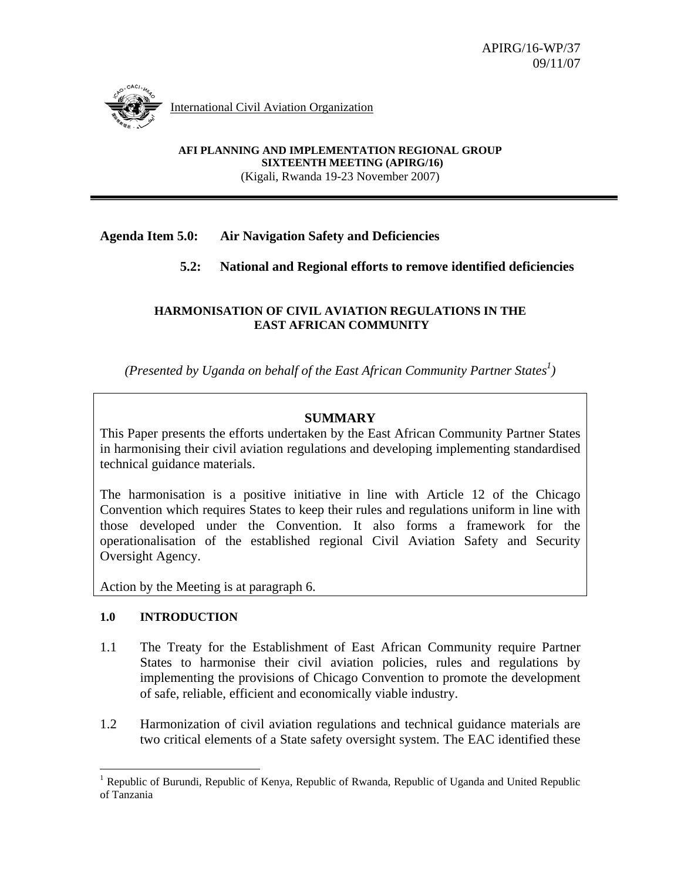

International Civil Aviation Organization

**AFI PLANNING AND IMPLEMENTATION REGIONAL GROUP SIXTEENTH MEETING (APIRG/16)**  (Kigali, Rwanda 19-23 November 2007)

## **Agenda Item 5.0: Air Navigation Safety and Deficiencies**

# **5.2: National and Regional efforts to remove identified deficiencies**

#### **HARMONISATION OF CIVIL AVIATION REGULATIONS IN THE EAST AFRICAN COMMUNITY**

*(Presented by Uganda on behalf of the East African Community Partner States<sup>1</sup>)* 

## **SUMMARY**

This Paper presents the efforts undertaken by the East African Community Partner States in harmonising their civil aviation regulations and developing implementing standardised technical guidance materials.

The harmonisation is a positive initiative in line with Article 12 of the Chicago Convention which requires States to keep their rules and regulations uniform in line with those developed under the Convention. It also forms a framework for the operationalisation of the established regional Civil Aviation Safety and Security Oversight Agency.

Action by the Meeting is at paragraph 6.

### **1.0 INTRODUCTION**

- 1.1 The Treaty for the Establishment of East African Community require Partner States to harmonise their civil aviation policies, rules and regulations by implementing the provisions of Chicago Convention to promote the development of safe, reliable, efficient and economically viable industry.
- 1.2 Harmonization of civil aviation regulations and technical guidance materials are two critical elements of a State safety oversight system. The EAC identified these

<sup>&</sup>lt;sup>1</sup> Republic of Burundi, Republic of Kenya, Republic of Rwanda, Republic of Uganda and United Republic of Tanzania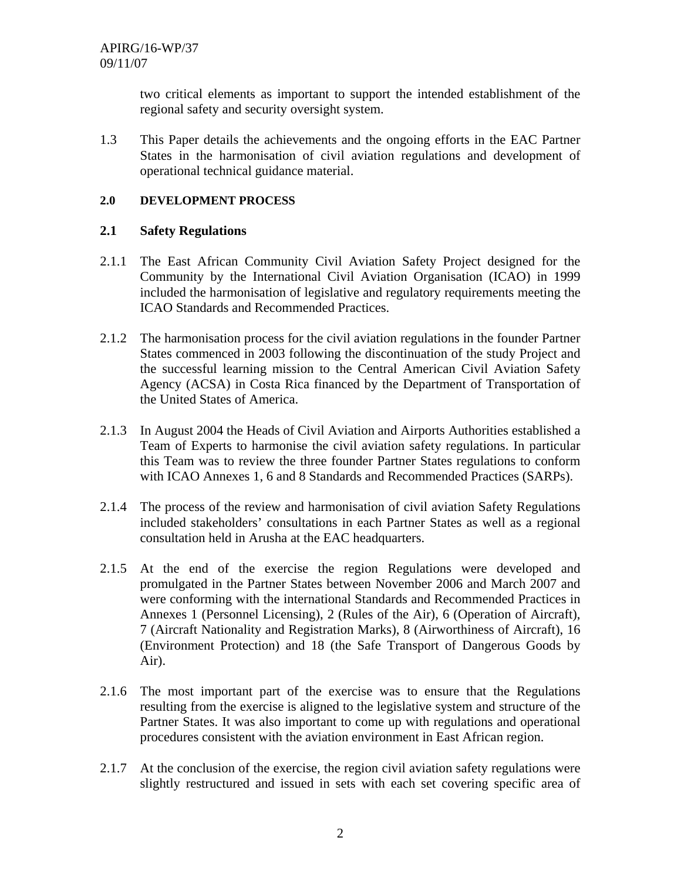two critical elements as important to support the intended establishment of the regional safety and security oversight system.

1.3 This Paper details the achievements and the ongoing efforts in the EAC Partner States in the harmonisation of civil aviation regulations and development of operational technical guidance material.

### **2.0 DEVELOPMENT PROCESS**

## **2.1 Safety Regulations**

- 2.1.1 The East African Community Civil Aviation Safety Project designed for the Community by the International Civil Aviation Organisation (ICAO) in 1999 included the harmonisation of legislative and regulatory requirements meeting the ICAO Standards and Recommended Practices.
- 2.1.2 The harmonisation process for the civil aviation regulations in the founder Partner States commenced in 2003 following the discontinuation of the study Project and the successful learning mission to the Central American Civil Aviation Safety Agency (ACSA) in Costa Rica financed by the Department of Transportation of the United States of America.
- 2.1.3 In August 2004 the Heads of Civil Aviation and Airports Authorities established a Team of Experts to harmonise the civil aviation safety regulations. In particular this Team was to review the three founder Partner States regulations to conform with ICAO Annexes 1, 6 and 8 Standards and Recommended Practices (SARPs).
- 2.1.4 The process of the review and harmonisation of civil aviation Safety Regulations included stakeholders' consultations in each Partner States as well as a regional consultation held in Arusha at the EAC headquarters.
- 2.1.5 At the end of the exercise the region Regulations were developed and promulgated in the Partner States between November 2006 and March 2007 and were conforming with the international Standards and Recommended Practices in Annexes 1 (Personnel Licensing), 2 (Rules of the Air), 6 (Operation of Aircraft), 7 (Aircraft Nationality and Registration Marks), 8 (Airworthiness of Aircraft), 16 (Environment Protection) and 18 (the Safe Transport of Dangerous Goods by Air).
- 2.1.6 The most important part of the exercise was to ensure that the Regulations resulting from the exercise is aligned to the legislative system and structure of the Partner States. It was also important to come up with regulations and operational procedures consistent with the aviation environment in East African region.
- 2.1.7 At the conclusion of the exercise, the region civil aviation safety regulations were slightly restructured and issued in sets with each set covering specific area of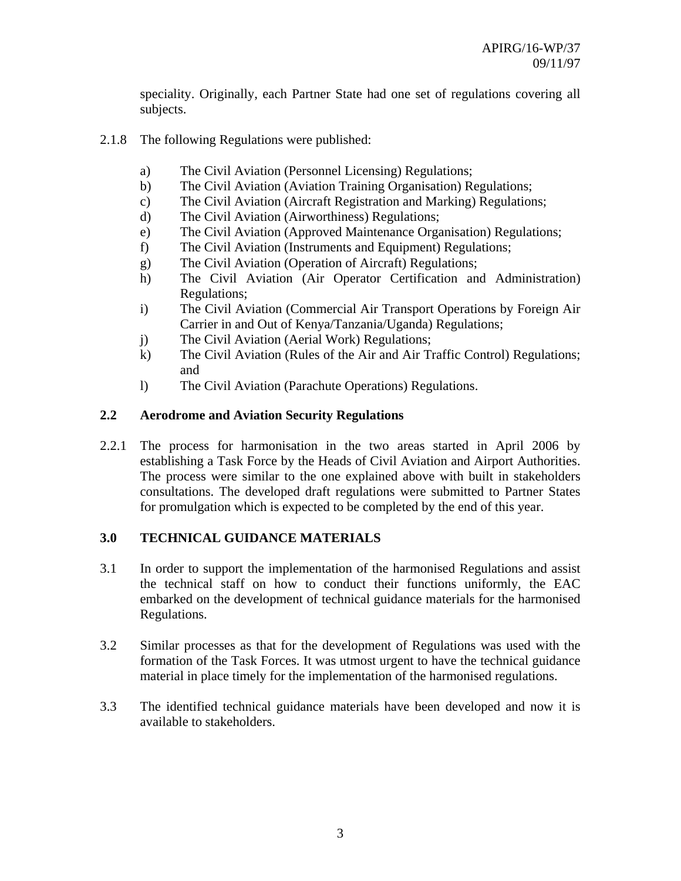speciality. Originally, each Partner State had one set of regulations covering all subjects.

- 2.1.8 The following Regulations were published:
	- a) The Civil Aviation (Personnel Licensing) Regulations;
	- b) The Civil Aviation (Aviation Training Organisation) Regulations;
	- c) The Civil Aviation (Aircraft Registration and Marking) Regulations;
	- d) The Civil Aviation (Airworthiness) Regulations;
	- e) The Civil Aviation (Approved Maintenance Organisation) Regulations;
	- f) The Civil Aviation (Instruments and Equipment) Regulations;
	- g) The Civil Aviation (Operation of Aircraft) Regulations;
	- h) The Civil Aviation (Air Operator Certification and Administration) Regulations;
	- i) The Civil Aviation (Commercial Air Transport Operations by Foreign Air Carrier in and Out of Kenya/Tanzania/Uganda) Regulations;
	- j) The Civil Aviation (Aerial Work) Regulations;
	- k) The Civil Aviation (Rules of the Air and Air Traffic Control) Regulations; and
	- l) The Civil Aviation (Parachute Operations) Regulations.

### **2.2 Aerodrome and Aviation Security Regulations**

2.2.1 The process for harmonisation in the two areas started in April 2006 by establishing a Task Force by the Heads of Civil Aviation and Airport Authorities. The process were similar to the one explained above with built in stakeholders consultations. The developed draft regulations were submitted to Partner States for promulgation which is expected to be completed by the end of this year.

### **3.0 TECHNICAL GUIDANCE MATERIALS**

- 3.1 In order to support the implementation of the harmonised Regulations and assist the technical staff on how to conduct their functions uniformly, the EAC embarked on the development of technical guidance materials for the harmonised Regulations.
- 3.2 Similar processes as that for the development of Regulations was used with the formation of the Task Forces. It was utmost urgent to have the technical guidance material in place timely for the implementation of the harmonised regulations.
- 3.3 The identified technical guidance materials have been developed and now it is available to stakeholders.